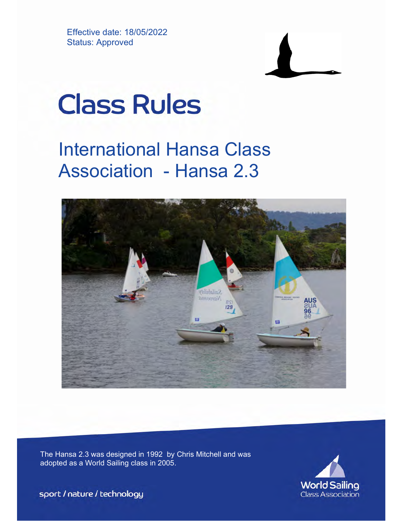Effective date: 18/05/2022 Status: Approved



# **Class Rules**

## International Hansa Class Association - Hansa 2.3



The Hansa 2.3 was designed in 1992 by Chris Mitchell and was adopted as a World Sailing class in 2005.



sport / nature / technology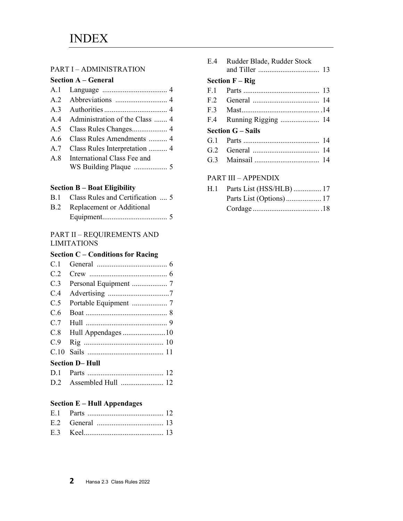#### PART I – ADMINISTRATION

|  |  | <b>Section A – General</b> |  |
|--|--|----------------------------|--|
|  |  |                            |  |

| A.4 Administration of the Class  4 |
|------------------------------------|
|                                    |
| A.6 Class Rules Amendments  4      |
| A.7 Class Rules Interpretation  4  |
| A.8 International Class Fee and    |
|                                    |

#### Section B – Boat Eligibility

| B.1 Class Rules and Certification  5 |
|--------------------------------------|
| <b>B.2</b> Replacement or Additional |
|                                      |

#### PART II – REQUIREMENTS AND LIMITATIONS

#### Section C – Conditions for Racing

| <b>Section D– Hull</b> |  |  |  |
|------------------------|--|--|--|
|                        |  |  |  |
| C.9                    |  |  |  |
|                        |  |  |  |
| C.7                    |  |  |  |
| C.6                    |  |  |  |
| C.5                    |  |  |  |
| C.4                    |  |  |  |
| C.3                    |  |  |  |
| C.2                    |  |  |  |
| C.1                    |  |  |  |

#### Section E – Hull Appendages

#### E.4 Rudder Blade, Rudder Stock and Tiller ................................. 13 Section F – Rig F.1 Parts ......................................... 13 F.2 General .................................... 14 F.3 Mast .......................................... .14 F.4 Running Rigging ..................... 14 Section G – Sails G.1 Parts ......................................... 14

| UT. L | – Paris         |  |
|-------|-----------------|--|
|       | G.2 General<br> |  |

G.3 Mainsail ................................... 14

#### PART III – APPENDIX

| H.1 Parts List (HSS/HLB)  17 |  |
|------------------------------|--|
|                              |  |
|                              |  |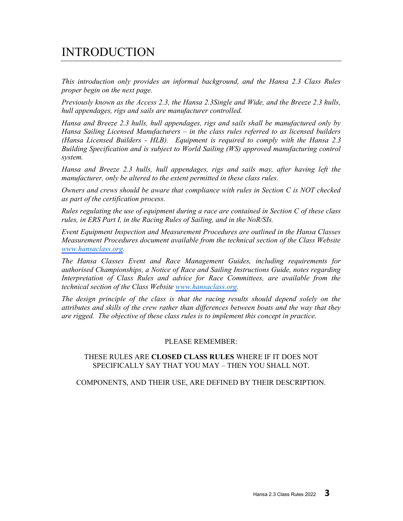## INTRODUCTION

This introduction only provides an informal background, and the Hansa 2.3 Class Rules proper begin on the next page.

Previously known as the Access 2.3, the Hansa 2.3Single and Wide, and the Breeze 2.3 hulls, hull appendages, rigs and sails are manufacturer controlled.

Hansa and Breeze 2.3 hulls, hull appendages, rigs and sails shall be manufactured only by Hansa Sailing Licensed Manufacturers – in the class rules referred to as licensed builders (Hansa Licensed Builders - HLB). Equipment is required to comply with the Hansa 2.3 Building Specification and is subject to World Sailing (WS) approved manufacturing control system.

Hansa and Breeze 2.3 hulls, hull appendages, rigs and sails may, after having left the manufacturer, only be altered to the extent permitted in these class rules.

Owners and crews should be aware that compliance with rules in Section C is NOT checked as part of the certification process.

Rules regulating the use of equipment during a race are contained in Section C of these class rules, in ERS Part I, in the Racing Rules of Sailing, and in the NoR/SIs.

Event Equipment Inspection and Measurement Procedures are outlined in the Hansa Classes Measurement Procedures document available from the technical section of the Class Website [www.hansaclass.org.](https://hansaclass.org/technical/ihca-measurement-procedures/)

The Hansa Classes Event and Race Management Guides, including requirements for authorised Championships, a Notice of Race and Sailing Instructions Guide, notes regarding Interpretation of Class Rules and advice for Race Committees, are available from the technical section of the Class Website [www.hansaclass.org](https://hansaclass.org/events/world-and-international-championships/).

The design principle of the class is that the racing results should depend solely on the attributes and skills of the crew rather than differences between boats and the way that they are rigged. The objective of these class rules is to implement this concept in practice.

#### PLEASE REMEMBER:

#### THESE RULES ARE CLOSED CLASS RULES WHERE IF IT DOES NOT SPECIFICALLY SAY THAT YOU MAY – THEN YOU SHALL NOT.

COMPONENTS, AND THEIR USE, ARE DEFINED BY THEIR DESCRIPTION.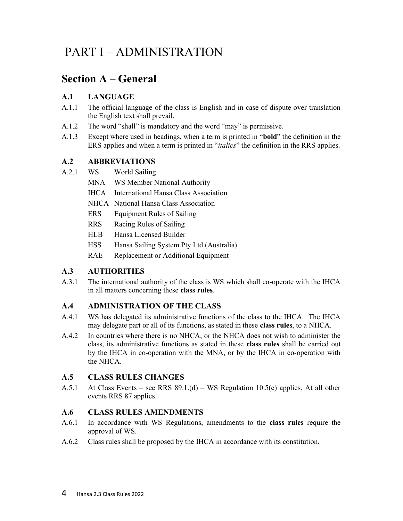## Section A – General

#### A.1 LANGUAGE

- A.1.1 The official language of the class is English and in case of dispute over translation the English text shall prevail.
- A.1.2 The word "shall" is mandatory and the word "may" is permissive.
- A.1.3 Except where used in headings, when a term is printed in "bold" the definition in the ERS applies and when a term is printed in "italics" the definition in the RRS applies.

#### A.2 ABBREVIATIONS

- A.2.1 WS World Sailing
	- MNA WS Member National Authority
	- IHCA International Hansa Class Association
	- NHCA National Hansa Class Association
	- ERS Equipment Rules of Sailing
	- RRS Racing Rules of Sailing
	- HLB Hansa Licensed Builder
	- HSS Hansa Sailing System Pty Ltd (Australia)
	- RAE Replacement or Additional Equipment

#### A.3 AUTHORITIES

A.3.1 The international authority of the class is WS which shall co-operate with the IHCA in all matters concerning these class rules.

#### A.4 ADMINISTRATION OF THE CLASS

- A.4.1 WS has delegated its administrative functions of the class to the IHCA. The IHCA may delegate part or all of its functions, as stated in these class rules, to a NHCA.
- A.4.2 In countries where there is no NHCA, or the NHCA does not wish to administer the class, its administrative functions as stated in these class rules shall be carried out by the IHCA in co-operation with the MNA, or by the IHCA in co-operation with the NHCA.

#### A.5 CLASS RULES CHANGES

A.5.1 At Class Events – see RRS  $89.1(d)$  – WS Regulation 10.5(e) applies. At all other events RRS 87 applies.

#### A.6 CLASS RULES AMENDMENTS

- A.6.1 In accordance with WS Regulations, amendments to the class rules require the approval of WS.
- A.6.2 Class rules shall be proposed by the IHCA in accordance with its constitution.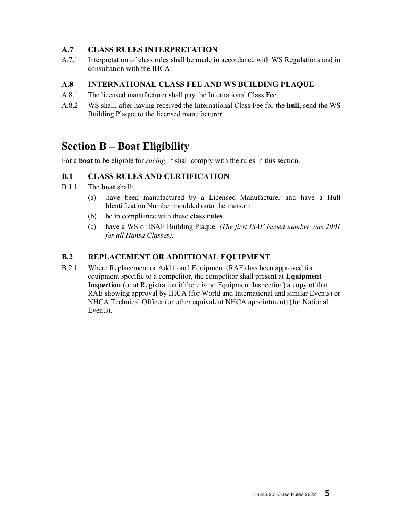#### A.7 CLASS RULES INTERPRETATION

A.7.1 Interpretation of class rules shall be made in accordance with WS Regulations and in consultation with the IHCA.

#### A.8 INTERNATIONAL CLASS FEE AND WS BUILDING PLAQUE

- A.8.1 The licensed manufacturer shall pay the International Class Fee.
- A.8.2 WS shall, after having received the International Class Fee for the hull, send the WS Building Plaque to the licensed manufacturer.

## Section B – Boat Eligibility

For a **boat** to be eligible for *racing*, it shall comply with the rules in this section.

#### B.1 CLASS RULES AND CERTIFICATION

- B.1.1 The boat shall:
	- (a) have been manufactured by a Licensed Manufacturer and have a Hull Identification Number moulded onto the transom.
	- (b) be in compliance with these class rules.
	- (c) have a WS or ISAF Building Plaque. (The first ISAF issued number was 2001 for all Hansa Classes).

#### B.2 REPLACEMENT OR ADDITIONAL EQUIPMENT

B.2.1 Where Replacement or Additional Equipment (RAE) has been approved for equipment specific to a competitor, the competitor shall present at Equipment Inspection (or at Registration if there is no Equipment Inspection) a copy of that RAE showing approval by IHCA (for World and International and similar Events) or NHCA Technical Officer (or other equivalent NHCA appointment) (for National Events).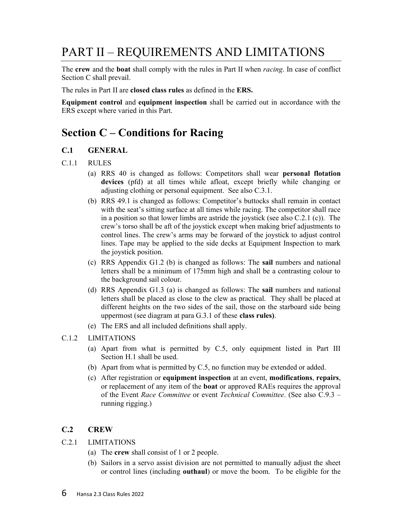## PART II – REQUIREMENTS AND LIMITATIONS

The crew and the boat shall comply with the rules in Part II when *racing*. In case of conflict Section C shall prevail.

The rules in Part II are closed class rules as defined in the ERS.

Equipment control and equipment inspection shall be carried out in accordance with the ERS except where varied in this Part.

## Section C – Conditions for Racing

#### C.1 GENERAL

- C.1.1 RULES
	- (a) RRS 40 is changed as follows: Competitors shall wear personal flotation devices (pfd) at all times while afloat, except briefly while changing or adjusting clothing or personal equipment. See also C.3.1.
	- (b) RRS 49.1 is changed as follows: Competitor's buttocks shall remain in contact with the seat's sitting surface at all times while racing. The competitor shall race in a position so that lower limbs are astride the joystick (see also C.2.1 (c)). The crew's torso shall be aft of the joystick except when making brief adjustments to control lines. The crew's arms may be forward of the joystick to adjust control lines. Tape may be applied to the side decks at Equipment Inspection to mark the joystick position.
	- (c) RRS Appendix G1.2 (b) is changed as follows: The sail numbers and national letters shall be a minimum of 175mm high and shall be a contrasting colour to the background sail colour.
	- (d) RRS Appendix G1.3 (a) is changed as follows: The sail numbers and national letters shall be placed as close to the clew as practical. They shall be placed at different heights on the two sides of the sail, those on the starboard side being uppermost (see diagram at para G.3.1 of these class rules).
	- (e) The ERS and all included definitions shall apply.

#### C.1.2 LIMITATIONS

- (a) Apart from what is permitted by C.5, only equipment listed in Part III Section H.1 shall be used.
- (b) Apart from what is permitted by C.5, no function may be extended or added.
- (c) After registration or equipment inspection at an event, modifications, repairs, or replacement of any item of the boat or approved RAEs requires the approval of the Event Race Committee or event Technical Committee. (See also C.9.3 – running rigging.)

#### C.2 CREW

C.2.1 LIMITATIONS

- (a) The crew shall consist of 1 or 2 people.
- (b) Sailors in a servo assist division are not permitted to manually adjust the sheet or control lines (including outhaul) or move the boom. To be eligible for the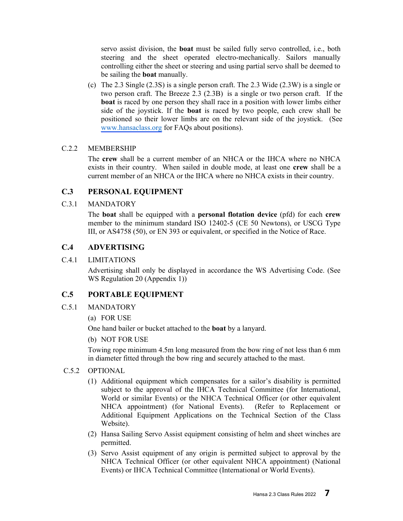servo assist division, the boat must be sailed fully servo controlled, i.e., both steering and the sheet operated electro-mechanically. Sailors manually controlling either the sheet or steering and using partial servo shall be deemed to be sailing the boat manually.

(c) The 2.3 Single (2.3S) is a single person craft. The 2.3 Wide (2.3W) is a single or two person craft. The Breeze 2.3 (2.3B) is a single or two person craft. If the boat is raced by one person they shall race in a position with lower limbs either side of the joystick. If the boat is raced by two people, each crew shall be positioned so their lower limbs are on the relevant side of the joystick. (See [www.hansaclass.org](https://hansaclass.org/technical/hansa-2-3-class-rules/) for FAQs about positions).

#### C.2.2 MEMBERSHIP

The crew shall be a current member of an NHCA or the IHCA where no NHCA exists in their country. When sailed in double mode, at least one crew shall be a current member of an NHCA or the IHCA where no NHCA exists in their country.

#### C.3 PERSONAL EQUIPMENT

#### C.3.1 MANDATORY

The boat shall be equipped with a personal flotation device (pfd) for each crew member to the minimum standard ISO 12402-5 (CE 50 Newtons), or USCG Type III, or AS4758 (50), or EN 393 or equivalent, or specified in the Notice of Race.

#### C.4 ADVERTISING

#### C.4.1 LIMITATIONS

Advertising shall only be displayed in accordance the WS Advertising Code. (See WS Regulation 20 (Appendix 1))

#### C.5 PORTABLE EQUIPMENT

- C.5.1 MANDATORY
	- (a) FOR USE

One hand bailer or bucket attached to the boat by a lanyard.

#### (b) NOT FOR USE

Towing rope minimum 4.5m long measured from the bow ring of not less than 6 mm in diameter fitted through the bow ring and securely attached to the mast.

#### C.5.2 OPTIONAL

- (1) Additional equipment which compensates for a sailor's disability is permitted subject to the approval of the IHCA Technical Committee (for International, World or similar Events) or the NHCA Technical Officer (or other equivalent NHCA appointment) (for National Events). (Refer to Replacement or Additional Equipment Applications on the Technical Section of the Class Website).
- (2) Hansa Sailing Servo Assist equipment consisting of helm and sheet winches are permitted.
- (3) Servo Assist equipment of any origin is permitted subject to approval by the NHCA Technical Officer (or other equivalent NHCA appointment) (National Events) or IHCA Technical Committee (International or World Events).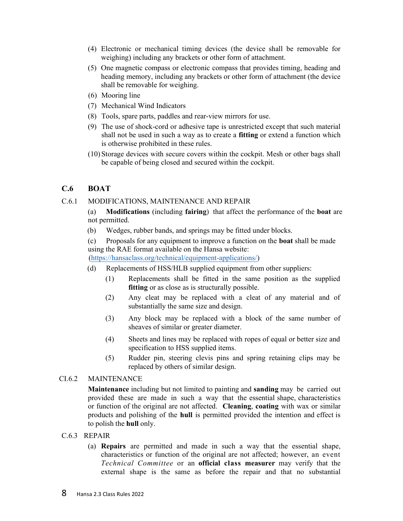- (4) Electronic or mechanical timing devices (the device shall be removable for weighing) including any brackets or other form of attachment.
- (5) One magnetic compass or electronic compass that provides timing, heading and heading memory, including any brackets or other form of attachment (the device shall be removable for weighing.
- (6) Mooring line
- (7) Mechanical Wind Indicators
- (8) Tools, spare parts, paddles and rear-view mirrors for use.
- (9) The use of shock-cord or adhesive tape is unrestricted except that such material shall not be used in such a way as to create a fitting or extend a function which is otherwise prohibited in these rules.
- (10) Storage devices with secure covers within the cockpit. Mesh or other bags shall be capable of being closed and secured within the cockpit.

#### C.6 BOAT

#### C.6.1 MODIFICATIONS, MAINTENANCE AND REPAIR

(a) Modifications (including fairing) that affect the performance of the boat are not permitted.

- (b) Wedges, rubber bands, and springs may be fitted under blocks.
- (c) Proposals for any equipment to improve a function on the boat shall be made using the RAE format available on the Hansa website:

(https://hansaclass.org/technical/equipment-applications/)

- (d) Replacements of HSS/HLB supplied equipment from other suppliers:
	- (1) Replacements shall be fitted in the same position as the supplied fitting or as close as is structurally possible.
	- (2) Any cleat may be replaced with a cleat of any material and of substantially the same size and design.
	- (3) Any block may be replaced with a block of the same number of sheaves of similar or greater diameter.
	- (4) Sheets and lines may be replaced with ropes of equal or better size and specification to HSS supplied items.
	- (5) Rudder pin, steering clevis pins and spring retaining clips may be replaced by others of similar design.

#### CI.6.2 MAINTENANCE

Maintenance including but not limited to painting and sanding may be carried out provided these are made in such a way that the essential shape, characteristics or function of the original are not affected. Cleaning, coating with wax or similar products and polishing of the hull is permitted provided the intention and effect is to polish the hull only.

#### C.6.3 REPAIR

(a) Repairs are permitted and made in such a way that the essential shape, characteristics or function of the original are not affected; however, an event Technical Committee or an official class measurer may verify that the external shape is the same as before the repair and that no substantial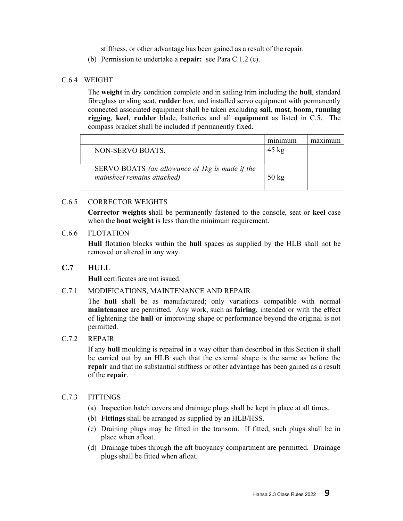stiffness, or other advantage has been gained as a result of the repair.

(b) Permission to undertake a repair: see Para C.1.2 (c).

#### C.6.4 WEIGHT

The weight in dry condition complete and in sailing trim including the hull, standard fibreglass or sling seat, rudder box, and installed servo equipment with permanently connected associated equipment shall be taken excluding sail, mast, boom, running rigging, keel, rudder blade, batteries and all equipment as listed in C.5. The compass bracket shall be included if permanently fixed.

|                                                                                | minimum         |  |
|--------------------------------------------------------------------------------|-----------------|--|
| NON-SERVO BOATS.                                                               | $45 \text{ kg}$ |  |
| SERVO BOATS (an allowance of 1kg is made if the<br>mainsheet remains attached) | $50 \text{ kg}$ |  |

#### C.6.5 CORRECTOR WEIGHTS

Corrector weights shall be permanently fastened to the console, seat or keel case when the **boat weight** is less than the minimum requirement.

#### C.6.6 FLOTATION

Hull flotation blocks within the hull spaces as supplied by the HLB shall not be removed or altered in any way.

#### C.7 HULL

Hull certificates are not issued.

#### C.7.1 MODIFICATIONS, MAINTENANCE AND REPAIR

The hull shall be as manufactured; only variations compatible with normal maintenance are permitted. Any work, such as fairing, intended or with the effect of lightening the hull or improving shape or performance beyond the original is not permitted.

#### C.7.2 REPAIR

If any hull moulding is repaired in a way other than described in this Section it shall be carried out by an HLB such that the external shape is the same as before the repair and that no substantial stiffness or other advantage has been gained as a result of the repair.

#### C.7.3 FITTINGS

- (a) Inspection hatch covers and drainage plugs shall be kept in place at all times.
- (b) Fittings shall be arranged as supplied by an HLB/HSS.
- (c) Draining plugs may be fitted in the transom. If fitted, such plugs shall be in place when afloat.
- (d) Drainage tubes through the aft buoyancy compartment are permitted. Drainage plugs shall be fitted when afloat.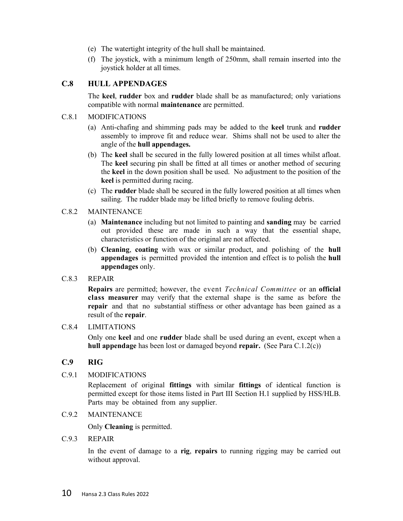- (e) The watertight integrity of the hull shall be maintained.
- (f) The joystick, with a minimum length of 250mm, shall remain inserted into the joystick holder at all times.

#### C.8 HULL APPENDAGES

The keel, rudder box and rudder blade shall be as manufactured; only variations compatible with normal maintenance are permitted.

#### C.8.1 MODIFICATIONS

- (a) Anti-chafing and shimming pads may be added to the keel trunk and rudder assembly to improve fit and reduce wear. Shims shall not be used to alter the angle of the hull appendages.
- (b) The keel shall be secured in the fully lowered position at all times whilst afloat. The keel securing pin shall be fitted at all times or another method of securing the keel in the down position shall be used. No adjustment to the position of the keel is permitted during racing.
- (c) The rudder blade shall be secured in the fully lowered position at all times when sailing. The rudder blade may be lifted briefly to remove fouling debris.

#### C.8.2 MAINTENANCE

- (a) Maintenance including but not limited to painting and sanding may be carried out provided these are made in such a way that the essential shape, characteristics or function of the original are not affected.
- (b) Cleaning, coating with wax or similar product, and polishing of the hull appendages is permitted provided the intention and effect is to polish the hull appendages only.

#### C.8.3 REPAIR

Repairs are permitted; however, the event Technical Committee or an official class measurer may verify that the external shape is the same as before the repair and that no substantial stiffness or other advantage has been gained as a result of the repair.

#### C.8.4 LIMITATIONS

Only one keel and one rudder blade shall be used during an event, except when a hull appendage has been lost or damaged beyond repair. (See Para C.1.2(c))

#### C.9 RIG

#### C.9.1 MODIFICATIONS

Replacement of original fittings with similar fittings of identical function is permitted except for those items listed in Part III Section H.1 supplied by HSS/HLB. Parts may be obtained from any supplier.

#### C.9.2 MAINTENANCE

Only Cleaning is permitted.

#### C.9.3 REPAIR

In the event of damage to a **rig, repairs** to running rigging may be carried out without approval.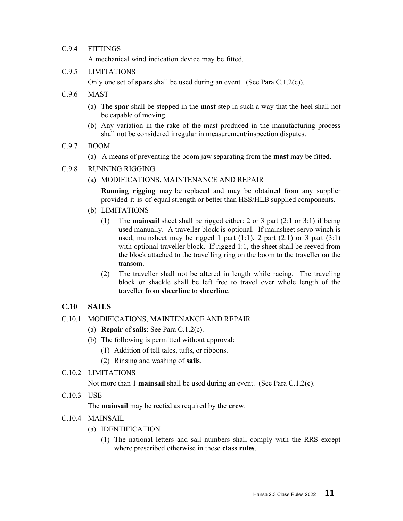#### C.9.4 FITTINGS

A mechanical wind indication device may be fitted.

#### C.9.5 LIMITATIONS

Only one set of spars shall be used during an event. (See Para C.1.2(c)).

- C.9.6 MAST
	- (a) The spar shall be stepped in the mast step in such a way that the heel shall not be capable of moving.
	- (b) Any variation in the rake of the mast produced in the manufacturing process shall not be considered irregular in measurement/inspection disputes.
- C.9.7 BOOM
	- (a) A means of preventing the boom jaw separating from the mast may be fitted.
- C.9.8 RUNNING RIGGING
	- (a) MODIFICATIONS, MAINTENANCE AND REPAIR

**Running rigging** may be replaced and may be obtained from any supplier provided it is of equal strength or better than HSS/HLB supplied components.

- (b) LIMITATIONS
	- (1) The mainsail sheet shall be rigged either: 2 or 3 part (2:1 or 3:1) if being used manually. A traveller block is optional. If mainsheet servo winch is used, mainsheet may be rigged 1 part  $(1:1)$ , 2 part  $(2:1)$  or 3 part  $(3:1)$ with optional traveller block. If rigged 1:1, the sheet shall be reeved from the block attached to the travelling ring on the boom to the traveller on the transom.
	- (2) The traveller shall not be altered in length while racing. The traveling block or shackle shall be left free to travel over whole length of the traveller from sheerline to sheerline.

#### C.10 SAILS

#### C.10.1 MODIFICATIONS, MAINTENANCE AND REPAIR

- (a) Repair of sails: See Para C.1.2(c).
- (b) The following is permitted without approval:
	- (1) Addition of tell tales, tufts, or ribbons.
	- (2) Rinsing and washing of sails.

#### C.10.2 LIMITATIONS

Not more than 1 mainsail shall be used during an event. (See Para C.1.2(c).

C.10.3 USE

The mainsail may be reefed as required by the crew.

- C.10.4 MAINSAIL
	- (a) IDENTIFICATION
		- (1) The national letters and sail numbers shall comply with the RRS except where prescribed otherwise in these class rules.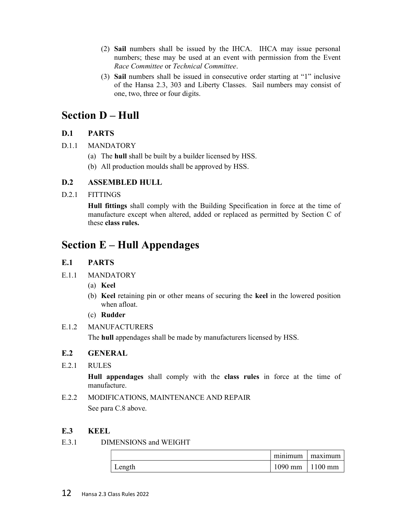- (2) Sail numbers shall be issued by the IHCA. IHCA may issue personal numbers; these may be used at an event with permission from the Event Race Committee or Technical Committee.
- (3) Sail numbers shall be issued in consecutive order starting at "1" inclusive of the Hansa 2.3, 303 and Liberty Classes. Sail numbers may consist of one, two, three or four digits.

## Section D – Hull

#### D.1 PARTS

- D.1.1 MANDATORY
	- (a) The hull shall be built by a builder licensed by HSS.
	- (b) All production moulds shall be approved by HSS.

#### D.2 ASSEMBLED HULL

D.2.1 FITTINGS

Hull fittings shall comply with the Building Specification in force at the time of manufacture except when altered, added or replaced as permitted by Section C of these class rules.

## Section E – Hull Appendages

#### E.1 PARTS

- E.1.1 MANDATORY
	- (a) Keel
	- (b) Keel retaining pin or other means of securing the keel in the lowered position when afloat.
	- (c) Rudder

#### E.1.2 MANUFACTURERS

The hull appendages shall be made by manufacturers licensed by HSS.

#### E.2 GENERAL

E.2.1 RULES

Hull appendages shall comply with the class rules in force at the time of manufacture.

E.2.2 MODIFICATIONS, MAINTENANCE AND REPAIR See para C.8 above.

#### E.3 KEEL

E.3.1 DIMENSIONS and WEIGHT

|        | minimum   | maximum |
|--------|-----------|---------|
| Length | $1090$ mm | 1100 mm |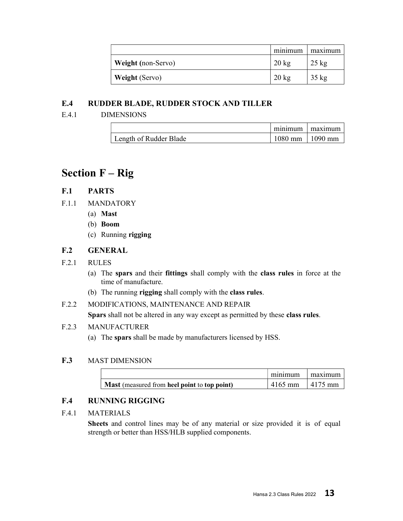|                           | minimum         | maximum         |
|---------------------------|-----------------|-----------------|
| <b>Weight</b> (non-Servo) | $20 \text{ kg}$ | $25 \text{ kg}$ |
| <b>Weight</b> (Servo)     | $20 \text{ kg}$ | $35 \text{ kg}$ |

#### E.4 RUDDER BLADE, RUDDER STOCK AND TILLER

E.4.1 DIMENSIONS

|                        | minimum             | maximum |
|------------------------|---------------------|---------|
| Length of Rudder Blade | $1080$ mm   1090 mm |         |

## Section F – Rig

#### F.1 PARTS

- F.1.1 MANDATORY
	- (a) Mast
	- (b) Boom
	- (c) Running rigging

#### F.2 GENERAL

#### F.2.1 RULES

- (a) The spars and their fittings shall comply with the class rules in force at the time of manufacture.
- (b) The running rigging shall comply with the class rules.
- F.2.2 MODIFICATIONS, MAINTENANCE AND REPAIR Spars shall not be altered in any way except as permitted by these class rules.

#### F.2.3 MANUFACTURER

(a) The spars shall be made by manufacturers licensed by HSS.

#### F.3 MAST DIMENSION

|                                              | minimum   | maximum         |
|----------------------------------------------|-----------|-----------------|
| Mast (measured from heel point to top point) | $4165$ mm | $\vert$ 4175 mm |

#### F.4 RUNNING RIGGING

#### F.4.1 MATERIALS

Sheets and control lines may be of any material or size provided it is of equal strength or better than HSS/HLB supplied components.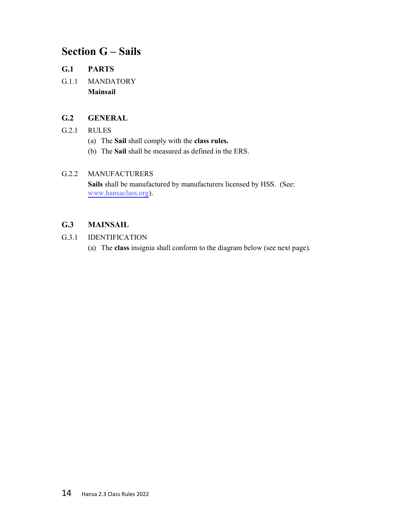## Section G – Sails

#### G.1 PARTS

G.1.1 MANDATORY Mainsail

#### G.2 GENERAL

#### G.2.1 RULES

- (a) The Sail shall comply with the class rules.
- (b) The Sail shall be measured as defined in the ERS.

#### G.2.2 MANUFACTURERS

Sails shall be manufactured by manufacturers licensed by HSS. (See: [www.hansaclass.org](https://hansaclass.org/about/approved-sail-makers/)).

#### G.3 MAINSAIL

#### G.3.1 IDENTIFICATION

(a) The class insignia shall conform to the diagram below (see next page).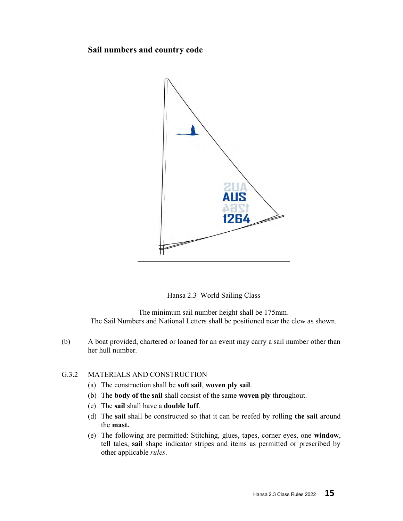#### Sail numbers and country code



Hansa 2.3 World Sailing Class

The minimum sail number height shall be 175mm. The Sail Numbers and National Letters shall be positioned near the clew as shown.

(b) A boat provided, chartered or loaned for an event may carry a sail number other than her hull number.

#### G.3.2 MATERIALS AND CONSTRUCTION

- (a) The construction shall be soft sail, woven ply sail.
- (b) The body of the sail shall consist of the same woven ply throughout.
- (c) The sail shall have a double luff.
- (d) The sail shall be constructed so that it can be reefed by rolling the sail around the mast.
- (e) The following are permitted: Stitching, glues, tapes, corner eyes, one window, tell tales, sail shape indicator stripes and items as permitted or prescribed by other applicable rules.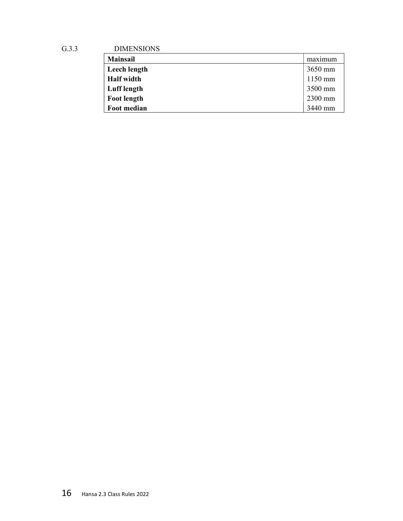G.3.3 DIMENSIONS

| <b>Mainsail</b>    | maximum   |
|--------------------|-----------|
| Leech length       | $3650$ mm |
| <b>Half</b> width  | $1150$ mm |
| Luff length        | 3500 mm   |
| <b>Foot length</b> | 2300 mm   |
| Foot median        | 3440 mm   |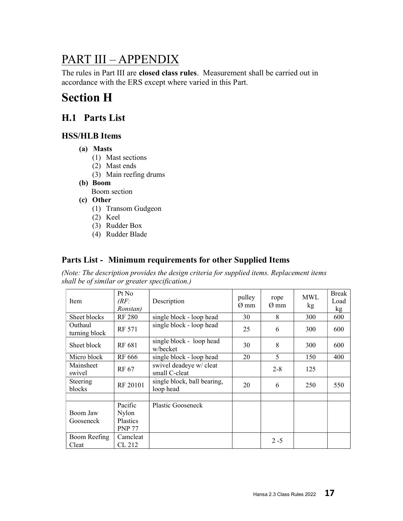## PART III – APPENDIX

The rules in Part III are closed class rules. Measurement shall be carried out in accordance with the ERS except where varied in this Part.

## Section H

## H.1 Parts List

#### HSS/HLB Items

- (a) Masts
	- (1) Mast sections
	- (2) Mast ends
	- (3) Main reefing drums
- (b) Boom
	- Boom section
- (c) Other
	- (1) Transom Gudgeon
	- (2) Keel
	- (3) Rudder Box
	- (4) Rudder Blade

### Parts List - Minimum requirements for other Supplied Items

(Note: The description provides the design criteria for supplied items. Replacement items shall be of similar or greater specification.)

| Item                     | Pt No<br>(RF)<br>Ronstan)                     | Description                              | pulley<br>$\varnothing$ mm | rope<br>$\varnothing$ mm | <b>MWL</b><br>kg | <b>Break</b><br>Load<br>kg |
|--------------------------|-----------------------------------------------|------------------------------------------|----------------------------|--------------------------|------------------|----------------------------|
| Sheet blocks             | <b>RF 280</b>                                 | single block - loop head                 | 30                         | 8                        | 300              | 600                        |
| Outhaul<br>turning block | RF 571                                        | single block - loop head                 | 25                         | 6                        | 300              | 600                        |
| Sheet block              | RF 681                                        | single block - loop head<br>w/becket     | 30                         | 8                        | 300              | 600                        |
| Micro block              | RF 666                                        | single block - loop head                 | 20                         | 5                        | 150              | 400                        |
| Mainsheet<br>swivel      | RF 67                                         | swivel deadeye w/ cleat<br>small C-cleat |                            | $2 - 8$                  | 125              |                            |
| Steering<br>blocks       | RF 20101                                      | single block, ball bearing,<br>loop head | 20                         | 6                        | 250              | 550                        |
|                          |                                               |                                          |                            |                          |                  |                            |
| Boom Jaw<br>Gooseneck    | Pacific<br>Nylon<br>Plastics<br><b>PNP 77</b> | Plastic Gooseneck                        |                            |                          |                  |                            |
| Boom Reefing<br>Cleat    | Camcleat<br>CL 212                            |                                          |                            | $2 - 5$                  |                  |                            |